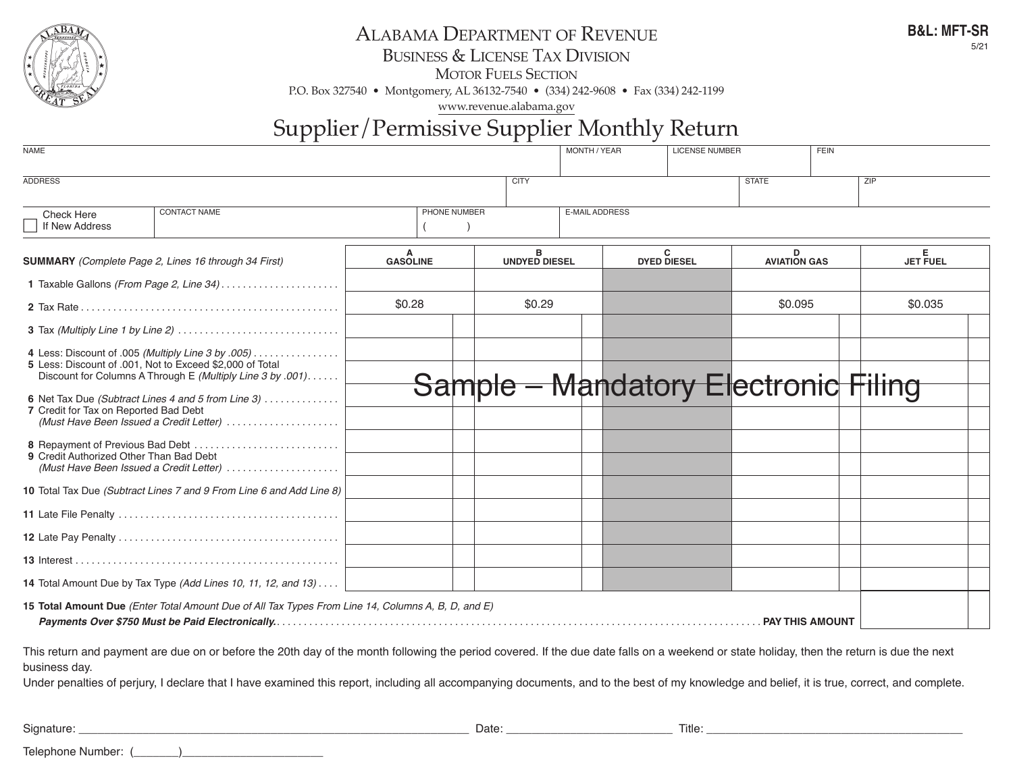

### ALABAMA DEPARTMENT OF REVENUE

business & license tAx Division

**B&L: MFT-SR** 5/21

**MOTOR FUELS SECTION** 

p.o. box 327540 • montgomery, Al 36132-7540 • (334) 242-9608 • fax (334) 242-1199

www.revenue.alabama.gov

## Supplier/Permissive Supplier Monthly Return

| <b>NAME</b>                                                                      |                                                                                                                                                                                                                                                                                                                                                                                                  |                 |  |              |                           | MONTH / YEAR |                         | <b>LICENSE NUMBER</b> |                                             | <b>FEIN</b> |                      |  |  |
|----------------------------------------------------------------------------------|--------------------------------------------------------------------------------------------------------------------------------------------------------------------------------------------------------------------------------------------------------------------------------------------------------------------------------------------------------------------------------------------------|-----------------|--|--------------|---------------------------|--------------|-------------------------|-----------------------|---------------------------------------------|-------------|----------------------|--|--|
| <b>ADDRESS</b><br><b>CITY</b>                                                    |                                                                                                                                                                                                                                                                                                                                                                                                  |                 |  |              |                           |              |                         |                       | <b>STATE</b>                                |             | ZIP                  |  |  |
| <b>Check Here</b><br>If New Address                                              | <b>CONTACT NAME</b>                                                                                                                                                                                                                                                                                                                                                                              |                 |  | PHONE NUMBER |                           |              | <b>E-MAIL ADDRESS</b>   |                       |                                             |             |                      |  |  |
| <b>SUMMARY</b> (Complete Page 2, Lines 16 through 34 First)                      |                                                                                                                                                                                                                                                                                                                                                                                                  | <b>GASOLINE</b> |  |              | в<br><b>UNDYED DIESEL</b> |              | C<br><b>DYED DIESEL</b> |                       | D<br><b>AVIATION GAS</b>                    |             | Е<br><b>JET FUEL</b> |  |  |
|                                                                                  | 1 Taxable Gallons (From Page 2, Line 34)                                                                                                                                                                                                                                                                                                                                                         |                 |  |              |                           |              |                         |                       |                                             |             |                      |  |  |
|                                                                                  |                                                                                                                                                                                                                                                                                                                                                                                                  | \$0.28          |  |              | \$0.29                    |              |                         | \$0.095               |                                             |             | \$0.035              |  |  |
|                                                                                  |                                                                                                                                                                                                                                                                                                                                                                                                  |                 |  |              |                           |              |                         |                       |                                             |             |                      |  |  |
| 7 Credit for Tax on Reported Bad Debt<br>9 Credit Authorized Other Than Bad Debt | 4 Less: Discount of .005 (Multiply Line 3 by .005)<br>5 Less: Discount of .001, Not to Exceed \$2,000 of Total<br>Discount for Columns A Through E (Multiply Line 3 by .001)<br>6 Net Tax Due (Subtract Lines 4 and 5 from Line 3)<br>(Must Have Been Issued a Credit Letter)<br>(Must Have Been Issued a Credit Letter)<br>10 Total Tax Due (Subtract Lines 7 and 9 From Line 6 and Add Line 8) |                 |  |              |                           |              |                         |                       | <b>Sample – Mandatory Electronic Filing</b> |             |                      |  |  |
|                                                                                  |                                                                                                                                                                                                                                                                                                                                                                                                  |                 |  |              |                           |              |                         |                       |                                             |             |                      |  |  |
|                                                                                  |                                                                                                                                                                                                                                                                                                                                                                                                  |                 |  |              |                           |              |                         |                       |                                             |             |                      |  |  |
|                                                                                  |                                                                                                                                                                                                                                                                                                                                                                                                  |                 |  |              |                           |              |                         |                       |                                             |             |                      |  |  |
|                                                                                  | 14 Total Amount Due by Tax Type (Add Lines 10, 11, 12, and 13)                                                                                                                                                                                                                                                                                                                                   |                 |  |              |                           |              |                         |                       |                                             |             |                      |  |  |
|                                                                                  | 15 Total Amount Due (Enter Total Amount Due of All Tax Types From Line 14, Columns A, B, D, and E)                                                                                                                                                                                                                                                                                               |                 |  |              |                           |              |                         |                       |                                             |             |                      |  |  |
| business day.                                                                    | This return and payment are due on or before the 20th day of the month following the period covered. If the due date falls on a weekend or state holiday, then the return is due the next                                                                                                                                                                                                        |                 |  |              |                           |              |                         |                       |                                             |             |                      |  |  |

Under penalties of perjury, I declare that I have examined this report, including all accompanying documents, and to the best of my knowledge and belief, it is true, correct, and complete.

Signature: \_\_\_\_\_\_\_\_\_\_\_\_\_\_\_\_\_\_\_\_\_\_\_\_\_\_\_\_\_\_\_\_\_\_\_\_\_\_\_\_\_\_\_\_\_\_\_\_\_\_\_\_\_\_\_\_\_\_\_\_\_ Date: \_\_\_\_\_\_\_\_\_\_\_\_\_\_\_\_\_\_\_\_\_\_\_\_\_\_ Title: \_\_\_\_\_\_\_\_\_\_\_\_\_\_\_\_\_\_\_\_\_\_\_\_\_\_\_\_\_\_\_\_\_\_\_\_\_\_\_\_

Telephone Number: (\_\_\_\_\_\_\_)\_\_\_\_\_\_\_\_\_\_\_\_\_\_\_\_\_\_\_\_\_\_